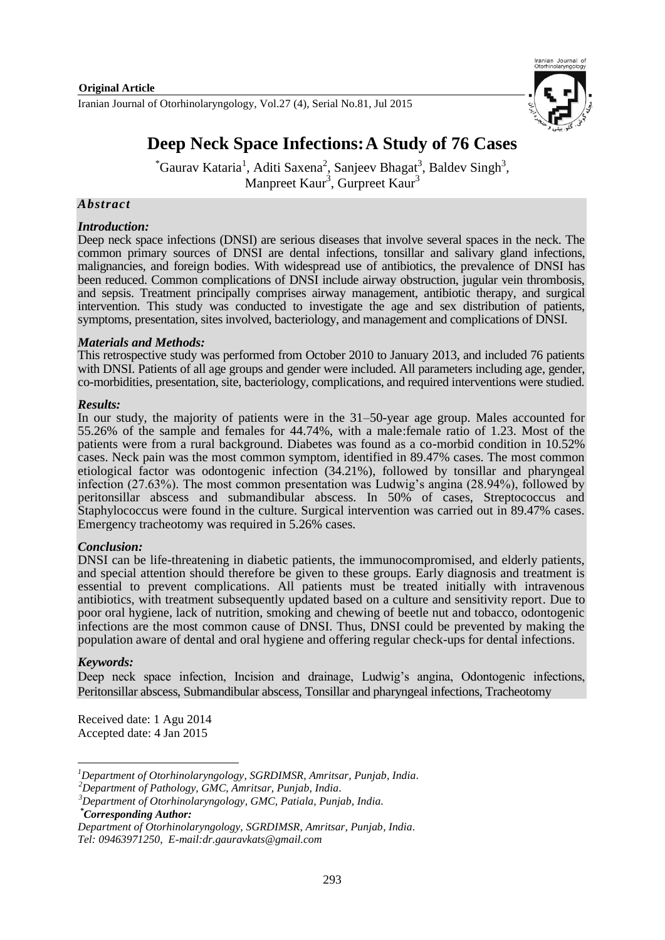Iranian Journal of Otorhinolaryngology, Vol.27 (4), Serial No.81, Jul 2015



# **Deep Neck Space Infections:A Study of 76 Cases**

 $^{\ast}$ Gaurav Kataria<sup>1</sup>, Aditi Saxena<sup>2</sup>, Sanjeev Bhagat<sup>3</sup>, Baldev Singh<sup>3</sup>, Manpreet Kaur<sup>3</sup>, Gurpreet Kaur<sup>3</sup>

### *Abstract*

#### *Introduction:*

Deep neck space infections (DNSI) are serious diseases that involve several spaces in the neck. The common primary sources of DNSI are dental infections, tonsillar and salivary gland infections, malignancies, and foreign bodies. With widespread use of antibiotics, the prevalence of DNSI has been reduced. Common complications of DNSI include airway obstruction, jugular vein thrombosis, and sepsis. Treatment principally comprises airway management, antibiotic therapy, and surgical intervention. This study was conducted to investigate the age and sex distribution of patients, symptoms, presentation, sites involved, bacteriology, and management and complications of DNSI.

#### *Materials and Methods:*

This retrospective study was performed from October 2010 to January 2013, and included 76 patients with DNSI. Patients of all age groups and gender were included. All parameters including age, gender, co-morbidities, presentation, site, bacteriology, complications, and required interventions were studied.

#### *Results:*

In our study, the majority of patients were in the 31–50-year age group. Males accounted for 55.26% of the sample and females for 44.74%, with a male:female ratio of 1.23. Most of the patients were from a rural background. Diabetes was found as a co-morbid condition in 10.52% cases. Neck pain was the most common symptom, identified in 89.47% cases. The most common etiological factor was odontogenic infection (34.21%), followed by tonsillar and pharyngeal infection (27.63%). The most common presentation was Ludwig's angina (28.94%), followed by peritonsillar abscess and submandibular abscess. In 50% of cases, Streptococcus and Staphylococcus were found in the culture. Surgical intervention was carried out in 89.47% cases. Emergency tracheotomy was required in 5.26% cases.

#### *Conclusion:*

DNSI can be life-threatening in diabetic patients, the immunocompromised, and elderly patients, and special attention should therefore be given to these groups. Early diagnosis and treatment is essential to prevent complications. All patients must be treated initially with intravenous antibiotics, with treatment subsequently updated based on a culture and sensitivity report. Due to poor oral hygiene, lack of nutrition, smoking and chewing of beetle nut and tobacco, odontogenic infections are the most common cause of DNSI. Thus, DNSI could be prevented by making the population aware of dental and oral hygiene and offering regular check-ups for dental infections.

#### *Keywords:*

1

Deep neck space infection, Incision and drainage, Ludwig's angina, Odontogenic infections, Peritonsillar abscess, Submandibular abscess, Tonsillar and pharyngeal infections, Tracheotomy

Received date: 1 Agu 2014 Accepted date: 4 Jan 2015

*<sup>1</sup>Department of Otorhinolaryngology, SGRDIMSR, Amritsar, Punjab, India*.

*<sup>2</sup>Department of Pathology, GMC, Amritsar, Punjab, India*.

*<sup>3</sup>Department of Otorhinolaryngology, GMC, Patiala, Punjab, India*. *\*Corresponding Author:*

*Department of Otorhinolaryngology, SGRDIMSR, Amritsar, Punjab, India*. *Tel: 09463971250, E-mail[:dr.gauravkats@gmail.com](mailto:dr.gauravkats@gmail.com)*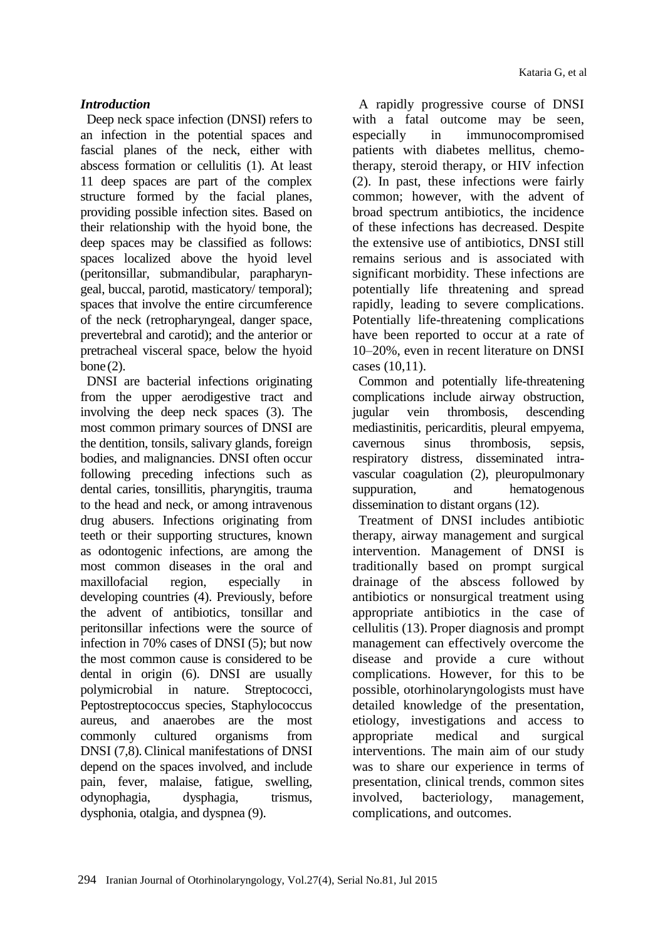# *Introduction*

Deep neck space infection (DNSI) refers to an infection in the potential spaces and fascial planes of the neck, either with abscess formation or cellulitis (1). At least 11 deep spaces are part of the complex structure formed by the facial planes, providing possible infection sites. Based on their relationship with the hyoid bone, the deep spaces may be classified as follows: spaces localized above the hyoid level (peritonsillar, submandibular, parapharyngeal, buccal, parotid, masticatory/ temporal); spaces that involve the entire circumference of the neck (retropharyngeal, danger space, prevertebral and carotid); and the anterior or pretracheal visceral space, below the hyoid bone (2).

DNSI are bacterial infections originating from the upper aerodigestive tract and involving the deep neck spaces (3). The most common primary sources of DNSI are the dentition, tonsils, salivary glands, foreign bodies, and malignancies. DNSI often occur following preceding infections such as dental caries, tonsillitis, pharyngitis, trauma to the head and neck, or among intravenous drug abusers. Infections originating from teeth or their supporting structures, known as odontogenic infections, are among the most common diseases in the oral and maxillofacial region, especially in developing countries (4). Previously, before the advent of antibiotics, tonsillar and peritonsillar infections were the source of infection in 70% cases of DNSI (5); but now the most common cause is considered to be dental in origin (6). DNSI are usually polymicrobial in nature. Streptococci, Peptostreptococcus species, Staphylococcus aureus, and anaerobes are the most commonly cultured organisms from DNSI (7,8). Clinical manifestations of DNSI depend on the spaces involved, and include pain, fever, malaise, fatigue, swelling, odynophagia, dysphagia, trismus, dysphonia, otalgia, and dyspnea (9).

A rapidly progressive course of DNSI with a fatal outcome may be seen, especially in immunocompromised patients with diabetes mellitus, chemotherapy, steroid therapy, or HIV infection (2). In past, these infections were fairly common; however, with the advent of broad spectrum antibiotics, the incidence of these infections has decreased. Despite the extensive use of antibiotics, DNSI still remains serious and is associated with significant morbidity. These infections are potentially life threatening and spread rapidly, leading to severe complications. Potentially life-threatening complications have been reported to occur at a rate of 10–20%, even in recent literature on DNSI cases (10,11).

Common and potentially life-threatening complications include airway obstruction, jugular vein thrombosis, descending mediastinitis, pericarditis, pleural empyema, cavernous sinus thrombosis, sepsis, respiratory distress, disseminated intravascular coagulation (2), pleuropulmonary suppuration, and hematogenous dissemination to distant organs (12).

Treatment of DNSI includes antibiotic therapy, airway management and surgical intervention. Management of DNSI is traditionally based on prompt surgical drainage of the abscess followed by antibiotics or nonsurgical treatment using appropriate antibiotics in the case of cellulitis (13). Proper diagnosis and prompt management can effectively overcome the disease and provide a cure without complications. However, for this to be possible, otorhinolaryngologists must have detailed knowledge of the presentation, etiology, investigations and access to appropriate medical and surgical interventions. The main aim of our study was to share our experience in terms of presentation, clinical trends, common sites involved, bacteriology, management, complications, and outcomes.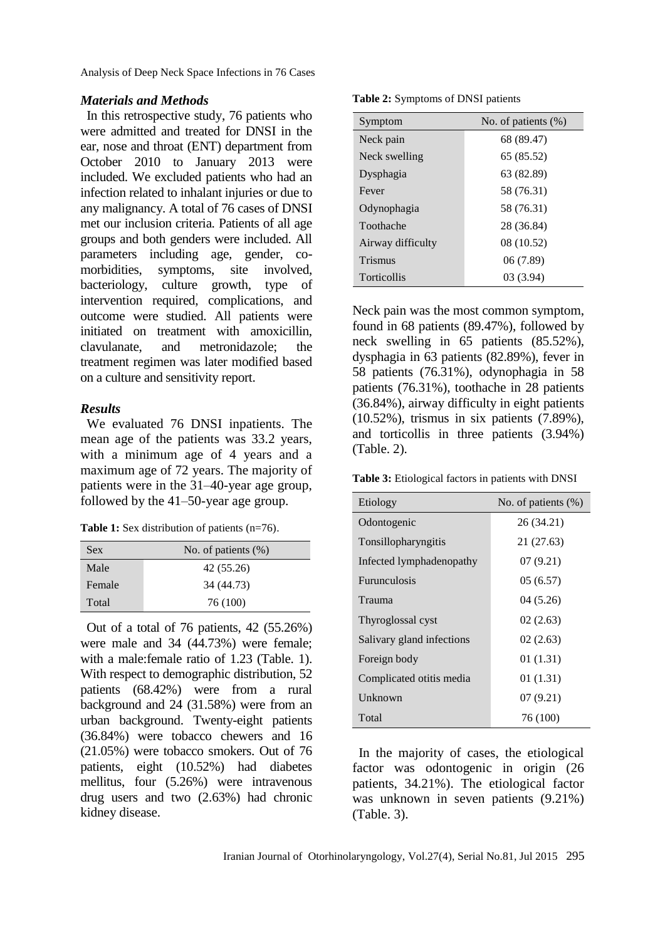Analysis of Deep Neck Space Infections in 76 Cases

### *Materials and Methods*

In this retrospective study, 76 patients who were admitted and treated for DNSI in the ear, nose and throat (ENT) department from October 2010 to January 2013 were included. We excluded patients who had an infection related to inhalant injuries or due to any malignancy. A total of 76 cases of DNSI met our inclusion criteria. Patients of all age groups and both genders were included. All parameters including age, gender, comorbidities, symptoms, site involved, bacteriology, culture growth, type of intervention required, complications, and outcome were studied. All patients were initiated on treatment with amoxicillin, clavulanate, and metronidazole; the treatment regimen was later modified based on a culture and sensitivity report.

# *Results*

We evaluated 76 DNSI inpatients. The mean age of the patients was 33.2 years, with a minimum age of 4 years and a maximum age of 72 years. The majority of patients were in the 31–40-year age group, followed by the 41–50-year age group.

**Table 1:** Sex distribution of patients (n=76).

| <b>Sex</b> | No. of patients $(\%)$ |
|------------|------------------------|
| Male       | 42 (55.26)             |
| Female     | 34 (44.73)             |
| Total      | 76 (100)               |

Out of a total of 76 patients, 42 (55.26%) were male and 34 (44.73%) were female; with a male:female ratio of 1.23 (Table. 1). With respect to demographic distribution, 52 patients (68.42%) were from a rural background and 24 (31.58%) were from an urban background. Twenty-eight patients (36.84%) were tobacco chewers and 16 (21.05%) were tobacco smokers. Out of 76 patients, eight (10.52%) had diabetes mellitus, four (5.26%) were intravenous drug users and two (2.63%) had chronic kidney disease.

| Table 2: Symptoms of DNSI patients |  |  |
|------------------------------------|--|--|
|------------------------------------|--|--|

| Symptom           | No. of patients $(\%)$ |
|-------------------|------------------------|
| Neck pain         | 68 (89.47)             |
| Neck swelling     | 65 (85.52)             |
| Dysphagia         | 63 (82.89)             |
| Fever             | 58 (76.31)             |
| Odynophagia       | 58 (76.31)             |
| Toothache         | 28 (36.84)             |
| Airway difficulty | 08 (10.52)             |
| Trismus           | 06 (7.89)              |
| Torticollis       | 03 (3.94)              |

Neck pain was the most common symptom, found in 68 patients (89.47%), followed by neck swelling in 65 patients (85.52%), dysphagia in 63 patients (82.89%), fever in 58 patients (76.31%), odynophagia in 58 patients (76.31%), toothache in 28 patients (36.84%), airway difficulty in eight patients (10.52%), trismus in six patients (7.89%), and torticollis in three patients (3.94%) (Table. 2).

**Table 3:** Etiological factors in patients with DNSI

| Etiology                  | No. of patients (%) |
|---------------------------|---------------------|
| Odontogenic               | 26 (34.21)          |
| Tonsillopharyngitis       | 21 (27.63)          |
| Infected lymphadenopathy  | 07(9.21)            |
| <b>Furunculosis</b>       | 05(6.57)            |
| Trauma                    | 04(5.26)            |
| Thyroglossal cyst         | 02(2.63)            |
| Salivary gland infections | 02(2.63)            |
| Foreign body              | 01(1.31)            |
| Complicated otitis media  | 01(1.31)            |
| Unknown                   | 07(9.21)            |
| Total                     | 76 (100)            |

In the majority of cases, the etiological factor was odontogenic in origin (26 patients, 34.21%). The etiological factor was unknown in seven patients (9.21%) (Table. 3).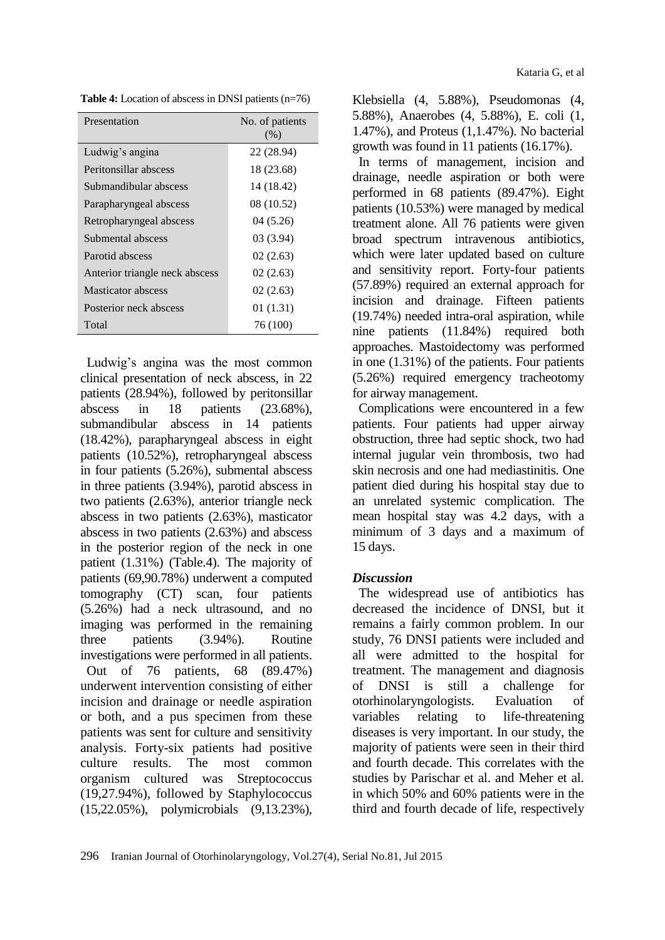**Table 4:** Location of abscess in DNSI patients (n=76)

| Presentation                   | No. of patients<br>(% ) |
|--------------------------------|-------------------------|
| Ludwig's angina                | 22 (28.94)              |
| Peritonsillar abscess          | 18 (23.68)              |
| Submandibular abscess          | 14 (18.42)              |
| Parapharyngeal abscess         | 08 (10.52)              |
| Retropharyngeal abscess        | 04 (5.26)               |
| Submental abscess              | 03(3.94)                |
| Parotid abscess                | 02(2.63)                |
| Anterior triangle neck abscess | 02(2.63)                |
| <b>Masticator</b> abscess      | 02(2.63)                |
| Posterior neck abscess         | 01(1.31)                |
| Total                          | 76 (100)                |

Ludwig's angina was the most common clinical presentation of neck abscess, in 22 patients (28.94%), followed by peritonsillar abscess in 18 patients (23.68%), submandibular abscess in 14 patients (18.42%), parapharyngeal abscess in eight patients (10.52%), retropharyngeal abscess in four patients (5.26%), submental abscess in three patients (3.94%), parotid abscess in two patients (2.63%), anterior triangle neck abscess in two patients (2.63%), masticator abscess in two patients (2.63%) and abscess in the posterior region of the neck in one patient (1.31%) (Table.4). The majority of patients (69,90.78%) underwent a computed tomography (CT) scan, four patients (5.26%) had a neck ultrasound, and no imaging was performed in the remaining three patients (3.94%). Routine investigations were performed in all patients. Out of 76 patients, 68 (89.47%) underwent intervention consisting of either incision and drainage or needle aspiration or both, and a pus specimen from these patients was sent for culture and sensitivity analysis. Forty-six patients had positive culture results. The most common organism cultured was Streptococcus (19,27.94%), followed by Staphylococcus (15,22.05%), polymicrobials (9,13.23%),

Klebsiella (4, 5.88%), Pseudomonas (4, 5.88%), Anaerobes (4, 5.88%), E. coli (1, 1.47%), and Proteus (1,1.47%). No bacterial growth was found in 11 patients (16.17%).

In terms of management, incision and drainage, needle aspiration or both were performed in 68 patients (89.47%). Eight patients (10.53%) were managed by medical treatment alone. All 76 patients were given broad spectrum intravenous antibiotics, which were later updated based on culture and sensitivity report. Forty-four patients (57.89%) required an external approach for incision and drainage. Fifteen patients (19.74%) needed intra-oral aspiration, while nine patients (11.84%) required both approaches. Mastoidectomy was performed in one (1.31%) of the patients. Four patients (5.26%) required emergency tracheotomy for airway management.

Complications were encountered in a few patients. Four patients had upper airway obstruction, three had septic shock, two had internal jugular vein thrombosis, two had skin necrosis and one had mediastinitis. One patient died during his hospital stay due to an unrelated systemic complication. The mean hospital stay was 4.2 days, with a minimum of 3 days and a maximum of 15 days.

# *Discussion*

The widespread use of antibiotics has decreased the incidence of DNSI, but it remains a fairly common problem. In our study, 76 DNSI patients were included and all were admitted to the hospital for treatment. The management and diagnosis of DNSI is still a challenge for otorhinolaryngologists. Evaluation of variables relating to life-threatening diseases is very important. In our study, the majority of patients were seen in their third and fourth decade. This correlates with the studies by Parischar et al. and Meher et al. in which 50% and 60% patients were in the third and fourth decade of life, respectively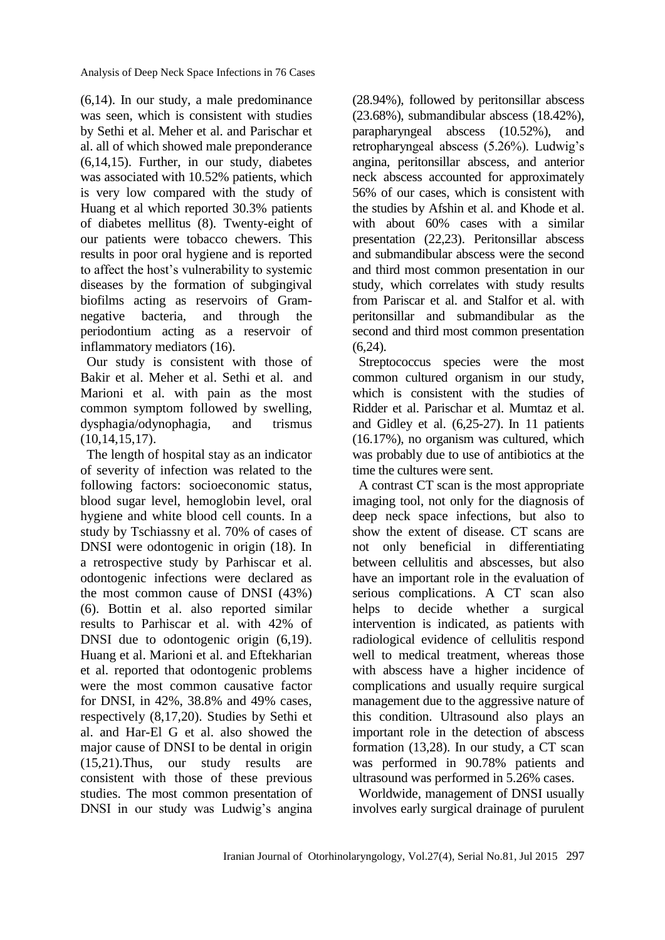Analysis of Deep Neck Space Infections in 76 Cases

(6,14). In our study, a male predominance was seen, which is consistent with studies by Sethi et al. Meher et al. and Parischar et al. all of which showed male preponderance (6,14,15). Further, in our study, diabetes was associated with 10.52% patients, which is very low compared with the study of Huang et al which reported 30.3% patients of diabetes mellitus (8). Twenty-eight of our patients were tobacco chewers. This results in poor oral hygiene and is reported to affect the host's vulnerability to systemic diseases by the formation of subgingival biofilms acting as reservoirs of Gramnegative bacteria, and through the periodontium acting as a reservoir of inflammatory mediators (16).

Our study is consistent with those of Bakir et al. Meher et al. Sethi et al. and Marioni et al. with pain as the most common symptom followed by swelling, dysphagia/odynophagia, and trismus (10,14,15,17).

The length of hospital stay as an indicator of severity of infection was related to the following factors: socioeconomic status, blood sugar level, hemoglobin level, oral hygiene and white blood cell counts. In a study by Tschiassny et al. 70% of cases of DNSI were odontogenic in origin (18). In a retrospective study by Parhiscar et al. odontogenic infections were declared as the most common cause of DNSI (43%) (6). Bottin et al. also reported similar results to Parhiscar et al. with 42% of DNSI due to odontogenic origin (6,19). Huang et al. Marioni et al. and Eftekharian et al. reported that odontogenic problems were the most common causative factor for DNSI, in 42%, 38.8% and 49% cases, respectively (8,17,20). Studies by Sethi et al. and Har-El G et al. also showed the major cause of DNSI to be dental in origin (15,21).Thus, our study results are consistent with those of these previous studies. The most common presentation of DNSI in our study was Ludwig's angina (28.94%), followed by peritonsillar abscess (23.68%), submandibular abscess (18.42%), parapharyngeal abscess (10.52%), and retropharyngeal abscess (5.26%). Ludwig's angina, peritonsillar abscess, and anterior neck abscess accounted for approximately 56% of our cases, which is consistent with the studies by Afshin et al. and Khode et al. with about 60% cases with a similar presentation (22,23). Peritonsillar abscess and submandibular abscess were the second and third most common presentation in our study, which correlates with study results from Pariscar et al. and Stalfor et al. with peritonsillar and submandibular as the second and third most common presentation  $(6,24)$ .

Streptococcus species were the most common cultured organism in our study, which is consistent with the studies of Ridder et al. Parischar et al. Mumtaz et al. and Gidley et al. (6,25-27). In 11 patients (16.17%), no organism was cultured, which was probably due to use of antibiotics at the time the cultures were sent.

A contrast CT scan is the most appropriate imaging tool, not only for the diagnosis of deep neck space infections, but also to show the extent of disease. CT scans are not only beneficial in differentiating between cellulitis and abscesses, but also have an important role in the evaluation of serious complications. A CT scan also helps to decide whether a surgical intervention is indicated, as patients with radiological evidence of cellulitis respond well to medical treatment, whereas those with abscess have a higher incidence of complications and usually require surgical management due to the aggressive nature of this condition. Ultrasound also plays an important role in the detection of abscess formation (13,28). In our study, a CT scan was performed in 90.78% patients and ultrasound was performed in 5.26% cases.

Worldwide, management of DNSI usually involves early surgical drainage of purulent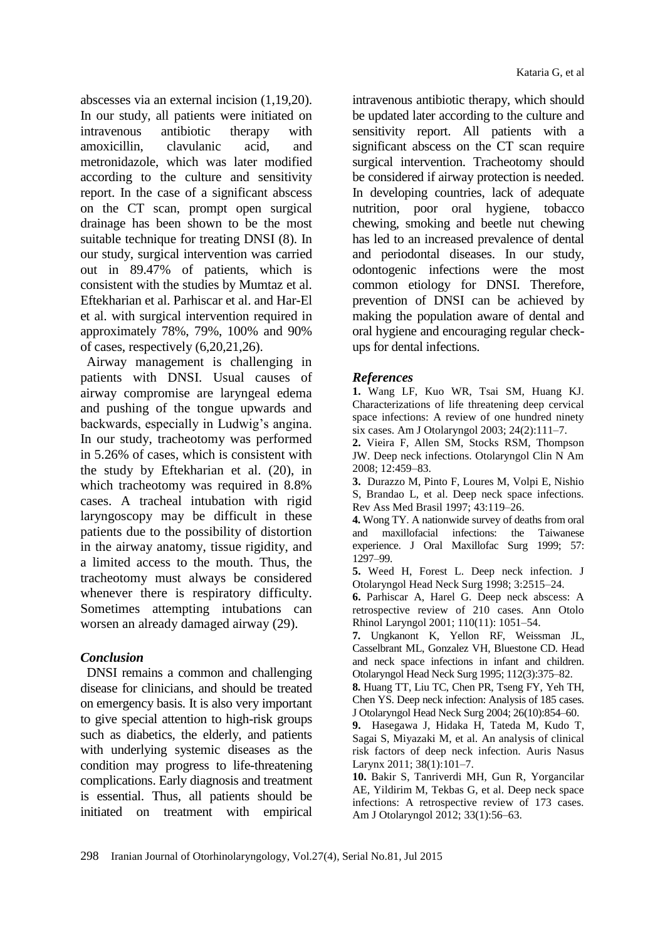abscesses via an external incision (1,19,20). In our study, all patients were initiated on intravenous antibiotic therapy with amoxicillin, clavulanic acid, and metronidazole, which was later modified according to the culture and sensitivity report. In the case of a significant abscess on the CT scan, prompt open surgical drainage has been shown to be the most suitable technique for treating DNSI (8). In our study, surgical intervention was carried out in 89.47% of patients, which is consistent with the studies by Mumtaz et al. Eftekharian et al. Parhiscar et al. and Har-El et al. with surgical intervention required in approximately 78%, 79%, 100% and 90% of cases, respectively (6,20,21,26).

Airway management is challenging in patients with DNSI. Usual causes of airway compromise are laryngeal edema and pushing of the tongue upwards and backwards, especially in Ludwig's angina. In our study, tracheotomy was performed in 5.26% of cases, which is consistent with the study by Eftekharian et al. (20), in which tracheotomy was required in 8.8% cases. A tracheal intubation with rigid laryngoscopy may be difficult in these patients due to the possibility of distortion in the airway anatomy, tissue rigidity, and a limited access to the mouth. Thus, the tracheotomy must always be considered whenever there is respiratory difficulty. Sometimes attempting intubations can worsen an already damaged airway (29).

# *Conclusion*

DNSI remains a common and challenging disease for clinicians, and should be treated on emergency basis. It is also very important to give special attention to high-risk groups such as diabetics, the elderly, and patients with underlying systemic diseases as the condition may progress to life-threatening complications. Early diagnosis and treatment is essential. Thus, all patients should be initiated on treatment with empirical

intravenous antibiotic therapy, which should be updated later according to the culture and sensitivity report. All patients with a significant abscess on the CT scan require surgical intervention. Tracheotomy should be considered if airway protection is needed. In developing countries, lack of adequate nutrition, poor oral hygiene, tobacco chewing, smoking and beetle nut chewing has led to an increased prevalence of dental and periodontal diseases. In our study, odontogenic infections were the most common etiology for DNSI. Therefore, prevention of DNSI can be achieved by making the population aware of dental and oral hygiene and encouraging regular checkups for dental infections.

# *References*

**1.** Wang LF, Kuo WR, Tsai SM, Huang KJ. Characterizations of life threatening deep cervical space infections: A review of one hundred ninety six cases. Am J Otolaryngol 2003; 24(2):111–7.

**2.** Vieira F, Allen SM, Stocks RSM, Thompson JW. Deep neck infections. Otolaryngol Clin N Am 2008; 12:459–83.

**3.** Durazzo M, Pinto F, Loures M, Volpi E, Nishio S, Brandao L, et al. Deep neck space infections. Rev Ass Med Brasil 1997; 43:119–26.

**4.** Wong TY. A nationwide survey of deaths from oral and maxillofacial infections: the Taiwanese experience. J Oral Maxillofac Surg 1999; 57: 1297–99.

**5.** Weed H, Forest L. Deep neck infection. J Otolaryngol Head Neck Surg 1998; 3:2515–24.

**6.** Parhiscar A, Harel G. Deep neck abscess: A retrospective review of 210 cases. Ann Otolo Rhinol Laryngol 2001; 110(11): 1051–54.

**7.** Ungkanont K, Yellon RF, Weissman JL, Casselbrant ML, Gonzalez VH, Bluestone CD. Head and neck space infections in infant and children. Otolaryngol Head Neck Surg 1995; 112(3):375–82.

**8.** Huang TT, Liu TC, Chen PR, Tseng FY, Yeh TH, Chen YS. Deep neck infection: Analysis of 185 cases. J Otolaryngol Head Neck Surg 2004; 26(10):854–60.

**9.** Hasegawa J, Hidaka H, Tateda M, Kudo T, Sagai S, Miyazaki M, et al. An analysis of clinical risk factors of deep neck infection. Auris Nasus Larynx 2011; 38(1):101–7.

**10.** Bakir S, Tanriverdi MH, Gun R, Yorgancilar AE, Yildirim M, Tekbas G, et al. Deep neck space infections: A retrospective review of 173 cases. Am J Otolaryngol 2012; 33(1):56–63.